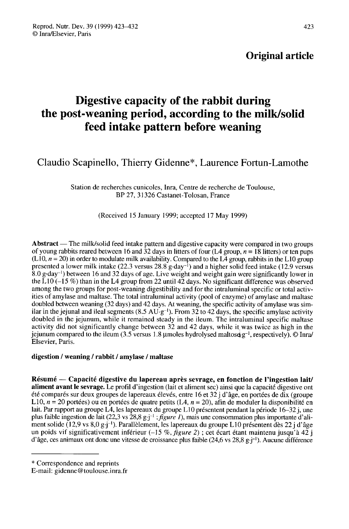## Original article

# Digestive capacity of the rabbit during the post-weaning period, according to the milk/solid feed intake pattern before weaning

Claudio Scapinello, Thierry Gidenne\*, Laurence Fortun-Lamothe

Station de recherches cunicoles, Inra, Centre de recherche de Toulouse, BP 27, 31326 Castanet-Tolosan, France

## (Received 15 January 1999; accepted 17 May 1999)

Abstract — The milk/solid feed intake pattern and digestive capacity were compared in two groups of young rabbits reared between 16 and 32 days in litters of four  $(L4 \text{ group}, n = 18 \text{ litres})$  or ten pups (L10,  $n = 20$ ) in order to modulate milk availability. Compared to the L4 group, rabbits in the L10 group presented a lower milk intake (22.3 versus 28.8 g day<sup>-1</sup>) and a higher solid feed intake (12.9 versus **Abstract** — The milk/solid feed intake pattern and digestive capacity were compared in two groups of young rabbits reared between 16 and 32 days in litters of four (L4 group,  $n = 18$  litters) or ten pups (L10,  $n = 20$ ) i of young rabbits reared between 16 and 32 days in litters of four (L4 group,  $n = 18$  litters) or ten pups (L10,  $n = 20$ ) in order to modulate milk availability. Compared to the L4 group, rabbits in the L10 group presented among the two groups for post-weaning digestibility and for the intraluminal specific or total activities of amylase and maltase. The total intraluminal activity (pool of enzyme) of amylase and maltase doubled between weaning (32 days) and 42 days. At weaning, the specific activity of amylase was sim-<br>ilar in the jejunal and ileal segments (8.5 AU·g<sup>-1</sup>). From 32 to 42 days, the specific amylase activity among the two groups for post-weaning digestibility and for the intraluminal specific or total activities of amylase and maltase. The total intraluminal activity (pool of enzyme) of amylase and maltase doubled between wean doubled in the jejunum, while it remained steady in the ileum. The intraluminal specific maltase activity did not significantly change between 32 and 42 days, while it was twice as high in the jejunum compared to the ileum (3.5 versus 1.8 µmoles hydrolysed maltose  $g^{-1}$ , respectively). © Inra/ ities of amylase and maltase. The total intraluminal activity (pool of enzyme) of amylase and maltase<br>doubled between weaning (32 days) and 42 days. At weaning, the specific activity of amylase was sim-<br>ilar in the jejunu Elsevier, Paris. '

### digestion / weaning / rabbit / amylase / maltase

Résumé ― Capacité digestive du lapereau après sevrage, en fonction de l'ingestion lait/ aliment avant le sevrage. Le profil d'ingestion (lait et aliment sec) ainsi que la capacité digestive ont été comparés sur deux groupes de lapereaux élevés, entre 16 et 32 j d'âge, en portées de dix (groupe L10,  $n = 20$  portées) ou en portées de quatre petits (L4,  $n = 20$ ), afin de moduler la disponibilité en lait. Par rapport au groupe L4, les lapereaux du groupe L10 présentent pendant la période 16-32 j, une plus faible ingestion de lait (22,3 vs 28,8 g $j^{-1}$ ; *figure 1*), mais une consommation plus importante d'ali-<br>ment solide (12,9 vs 8,0 g $j^{-1}$ ). Parallèlement, les lapereaux du groupe L10 présentent dès 22 j d'âge lait. Par rapport au groupe L4, les lapereaux du groupe L10 présentent pendant la période 16–32 j, une<br>plus faible ingestion de lait (22,3 vs 28,8 g.j<sup>-1</sup>; *figure 1*), mais une consommation plus importante d'ali-<br>ment so della sonde (12,9 vs 6,0 g-j ·). Parametement, les lapereaux du groupe L10 presentent des 22 j d age<br>un poids vif significativement inférieur (-15 %, *figure 2*); cet écart étant maintenu jusqu'à 42 j<br>d'âge, ces animaux o

<sup>\*</sup> Correspondence and reprints

E-mail: gidenne@toulouse.inra.fr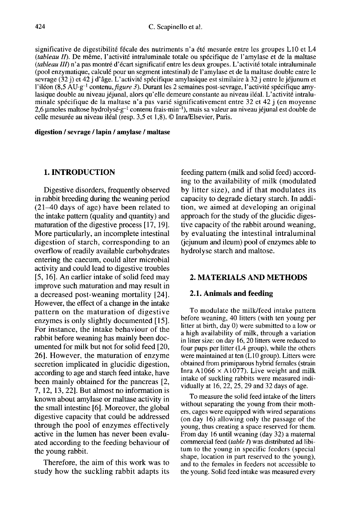significative de digestibilité fécale des nutriments n'a été mesurée entre les groupes L10 et L4  $(tableau II)$ . De même, l'activité intraluminale totale ou spécifique de l'amylase et de la maltase (tableau III) n'a pas montré d'écart significatif entre les deux groupes. L'activité totale intraluminale (pool enzymatique, calculé pour un segment intestinal) de l'amylase et de la maltase double entre le sevrage (32 j) et 42 j d'âge. L'activité spécifique amylasique est similaire à 32 j entre le jéjunum et (*iableau III*) it a pas montre d'ecart sigmineant entre les deux groupes. L'activité todale intrattuminate (pool enzymatique, calculé pour un segment intestinal) de l'amylase et de la maltase double entre le sevrage (32 lasique double au niveau jéjunal, alors qu'elle demeure constante au niveau iléal. L'activité intraluminale spécifique de la maltase n'a pas varié significativement entre 32 et 42 j (en moyenne  $2,6 \mu$ moles maltose hydrolysé  $g^{-1}$  contenu frais min<sup>-1</sup>), mais sa valeur au niveau jéjunal est double de celle mesurée au niveau iléal (resp. 3,5 et 1,8). @ Inra/Elsevier, Paris.

digestion / sevrage / lapin / amylase / maltase

## 1. INTRODUCTION

Digestive disorders, frequently observed in rabbit breeding during the weaning period (21-40 days of age) have been related to the intake pattern (quality and quantity) and maturation of the digestive process [ 17, 19]. More particularly, an incomplete intestinal digestion of starch, corresponding to an overflow of readily available carbohydrates entering the caecum, could alter microbial activity and could lead to digestive troubles [5, 16]. An earlier intake of solid feed may improve such maturation and may result in a decreased post-weaning mortality [24]. However, the effect of a change in the intake pattern on the maturation of digestive enzymes is only slightly documented [15]. For instance, the intake behaviour of the rabbit before weaning has mainly been documented for milk but not for solid feed [20, 26]. However, the maturation of enzyme secretion implicated in glucidic digestion, according to age and starch feed intake, have been mainly obtained for the pancreas [2, 7, 12, 13, 22]. But almost no information is known about amylase or maltase activity in the small intestine [6]. Moreover, the global digestive capacity that could be addressed through the pool of enzymes effectively active in the lumen has never been evaluated according to the feeding behaviour of the young rabbit.

Therefore, the aim of this work was to study how the suckling rabbit adapts its

feeding pattern (milk and solid feed) according to the availability of milk (modulated by litter size), and if that modulates its capacity to degrade dietary starch. In addition, we aimed at developing an original approach for the study of the glucidic digestive capacity of the rabbit around weaning, by evaluating the intestinal intraluminal (jejunum and ileum) pool of enzymes able to hydrolyse starch and maltose.

## 2. MATERIALS AND METHODS

## 2.1. Animals and feeding

To modulate the milk/feed intake pattern before weaning, 40 litters (with ten young per litter at birth, day 0) were submitted to a low or a high availability of milk, through a variation in litter size: on day 16, 20 litters were reduced to four pups per litter (L4 group), while the others were maintained at ten  $(L10 \text{ group})$ . Litters were obtained from primiparous hybrid females (strain Inra A1066  $\times$  A1077). Live weight and milk intake of suckling rabbits were measured individually at 16, 22, 25, 29 and 32 days of age.

To measure the solid feed intake of the litters without separating the young from their mothers, cages were equipped with wired separations (on day 16) allowing only the passage of the young, thus creating a space reserved for them. From day 16 until weaning (day 32) a maternal commercial feed (table I) was distributed ad libitum to the young in specific feeders (special shape, location in part reserved to the young), and to the females in feeders not accessible to the young. Solid feed intake was measured every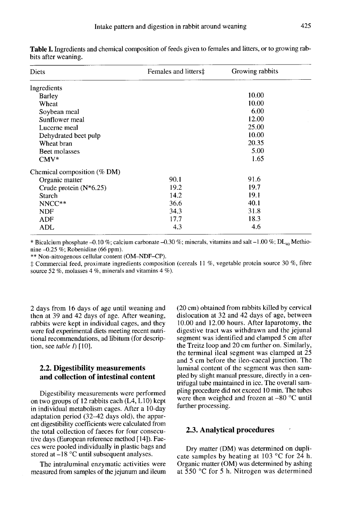| Diets                       | Females and litters‡ | Growing rabbits |  |
|-----------------------------|----------------------|-----------------|--|
| Ingredients                 |                      |                 |  |
| <b>Barley</b>               |                      | 10.00           |  |
| Wheat                       |                      | 10.00           |  |
| Soybean meal                |                      | 6.00            |  |
| Sunflower meal              |                      | 12.00           |  |
| Lucerne meal                |                      | 25.00           |  |
| Dehydrated beet pulp        |                      | 10.00           |  |
| Wheat bran                  |                      | 20.35           |  |
| Beet molasses               |                      | 5.00            |  |
| $CMV^*$                     |                      | 1.65            |  |
| Chemical composition (% DM) |                      |                 |  |
| Organic matter              | 90.1                 | 91.6            |  |
| Crude protein (N*6.25)      | 19.2                 | 19.7            |  |
| Starch                      | 14.2                 | 19.1            |  |
| NNCC**                      | 36.6                 | 40.1            |  |
| <b>NDF</b>                  | 34.3                 | 31.8            |  |
| ADF                         | 17.7                 | 18.3            |  |
| ADL                         | 4.3                  | 4.6             |  |

Table I. Ingredients and chemical composition of feeds given to females and litters, or to growing rabbits after weaning.

\* Bicalcium phosphate -0.10 %; calcium carbonate -0.30 %; minerals, vitamins and salt -1.00 %; DL<sub>40</sub> Methionine  $-0.25\%$ ; Robenidine (66 ppm).

\*\* Non-nitrogenous cellular content (OM-NDF-CP).

‡ Commercial feed, proximate ingredients composition (cereals 11 %, vegetable protein source 30 %, fibre source 52 %, molasses 4 %, minerals and vitamins 4 %).

2 days from 16 days of age until weaning and then at 39 and 42 days of age. After weaning, rabbits were kept in individual cages, and they were fed experimental diets meeting recent nutritional recommendations, ad libitum (for description, see table  $I$ ) [10].

## 2.2. Digestibility measurements and collection of intestinal content

Digestibility measurements were performed on two groups of 12 rabbits each (L4, L10) kept in individual metabolism cages. After a 10-day adaptation period  $(32-42$  days old), the apparent digestibility coefficients were calculated from the total collection of faeces for four consecutive days (European reference method [14]). Faeces were pooled individually in plastic bags and stored at-18 °C until subsequent analyses.

The intraluminal enzymatic activities were measured from samples of the jejunum and ileum (20 cm) obtained from rabbits killed by cervical dislocation at 32 and 42 days of age, between 10.00 and 12.00 hours. After laparotomy, the digestive tract was withdrawn and the jejunal segment was identified and clamped 5 cm after the Treitz loop and 20 cm further on. Similarly, the terminal ileal segment was clamped at 25 and 5 cm before the ileo-caecal junction. The luminal content of the segment was then sampled by slight manual pressure, directly in a centrifugal tube maintained in ice. The overall sampling procedure did not exceed 10 min. The tubes were then weighed and frozen at -80 °C until further processing.

#### 2.3. Analytical procedures .

Dry matter (DM) was determined on duplicate samples by heating at 103 °C for 24 h.<br>Organic matter (OM) was determined by ashing at  $550$  °C for 5 h. Nitrogen was determined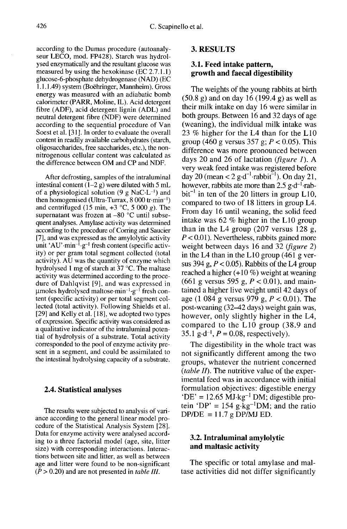according to the Dumas procedure (autoanaly seur LECO, mod. FP428). Starch was hydrolysed enzymatically and the resultant glucose was measured by using the hexokinase (EC 2.7.1.1) glucose-6-phosphate dehydrogenase (NAD) (EC 1.1.1.49) system (Boëhringer, Mannheim). Gross energy was measured with an adiabatic bomb calorimeter (PARR, Moline, IL). Acid detergent fibre (ADF), acid detergent lignin (ADL) and neutral detergent fibre (NDF) were determined according to the sequential procedure of Van Soest et al. [31]. In order to evaluate the overall content in readily available carbohydrates (starch, oligosaccharides, free saccharides, etc.), the nonnitrogenous cellular content was calculated as the difference between OM and CP and NDF.

After defrosting, samples of the intraluminal intestinal content  $(1-2 g)$  were diluted with 5 mL the difference between OM and CP and NDF.<br>
After defrosting, samples of the intraluminal<br>
intestinal content (1–2 g) were diluted with 5 mL<br>
of a physiological solution (9 g NaC·L<sup>-1</sup>) and<br>
then homogenised (Ultra-Turrax, then homogenised (Ultra-Turrax, 8 000 tr.min-I) and centrifuged (15 min,  $+3$  °C, 5 000 g). The supernatant was frozen at -80 °C until subsequent analyses. Amylase activity was determined according to the procedure of Corring and Saucier [7], and was expressed as the amylolytic activity unit 'AU' min<sup>-1</sup>  $g^{-1}$  fresh content (specific activthen homogenised (Ultra-Turrax, 8 000 tr-min<sup>-1</sup>)<br>and centrifuged (15 min, +3 °C, 5 000 g). The<br>supernatant was frozen at -80 °C until subse-<br>quent analyses. Amylase activity was determined<br>according to the procedure of C ity) or per gram total segment collected (total activity). AU was the quantity of enzyme which hydrolysed 1 mg of starch at 37 °C. The maltase activity was determined according to the procedure of Dahlqvist [9], and was expressed in umoles hydrolysed maltose $\cdot$ min<sup>-1</sup> $\cdot$ g<sup>-1</sup> fresh content (specific activity) or per total segment collected (total activity). Following Shields et al. [29] and Kelly et al. [18], we adopted two types of expression. Specific activity was considered as a qualitative indicator of the intraluminal potential of hydrolysis of a substrate. Total activity corresponded to the pool of enzyme activity pre sent in a segment, and could be assimilated to the intestinal hydrolysing capacity of a substrate.

## 2.4. Statistical analyses

The results were subjected to analysis of variance according to the general linear model procedure of the Statistical Analysis System [28]. Data for enzyme activity were analysed according to a three factorial model (age, site, litter size) with corresponding interactions. Interactions between site and litter, as well as between age and litter were found to be non-significant  $(P > 0.20)$  and are not presented in *table III*.

## 3. RESULTS

## 3.1. Feed intake pattern, growth and faecal digestibility

The weights of the young rabbits at birth  $(50.8 \text{ g})$  and on day 16 (199.4 g) as well as their milk intake on day 16 were similar in both groups. Between 16 and 32 days of age (weaning), the individual milk intake was 23 % higher for the L4 than for the  $L10$ group (460 g versus 357 g;  $P < 0.05$ ). This difference was more pronounced between days 20 and 26 of lactation (figure 1). A very weak feed intake was registered before<br> $\frac{1}{2}$  rabbit<sup>-1</sup>). On day 21 (weaning), the individual milk intake was<br>23 % higher for the L4 than for the L10<br>group (460 g versus 357 g;  $P < 0.05$ ). This<br>difference was more pronounced between<br>days 20 and 26 of lactation (*figure 1*). A<br>very weak fe  $bit^{-1}$  in ten of the 20 litters in group L10, compared to two of 18 litters in group L4. From day 16 until weaning, the solid feed intake was 62 % higher in the L10 group than in the L4 group (207 versus 128 g,  $P < 0.01$ ). Nevertheless, rabbits gained more weight between days 16 and 32 (figure 2) in the L4 than in the L10 group (461 g versus 394 g,  $P < 0.05$ ). Rabbits of the L4 group reached a higher  $(+10\%)$  weight at weaning (661 g versus 595 g,  $P < 0.01$ ), and maintained a higher live weight until 42 days of age (1 084 g versus 979 g,  $P < 0.01$ ). The post-weaning (32–42 days) weight gain was, however, only slightly higher in the L4, mowever, omy singlety ingher in the L4,<br>compared to the L10 group (38.9 and<br>35.1 g-d<sup>-1</sup>,  $P = 0.08$ , respectively).

The digestibility in the whole tract was not significantly different among the two groups, whatever the nutrient concerned *(table II)*. The nutritive value of the experimental feed was in accordance with initial formulation objectives: digestible energy (*table II*). The nutritive value of the exper-<br>imental feed was in accordance with initial<br>formulation objectives: digestible energy<br>'DE' = 12.65 MJ·kg<sup>-1</sup> DM; digestible pro-<br>tein 'DP' = 154 g·kg<sup>-1</sup>DM; and the ratio tein 'DP' = 154 g $\text{kg}$ -lDM; and the ratio  $DP/DE = 11.7 g DP/MJ ED$ .

## 3.2. Intraluminal amylolytic and maltasic activity

The specific or total amylase and maltase activities did not differ significantly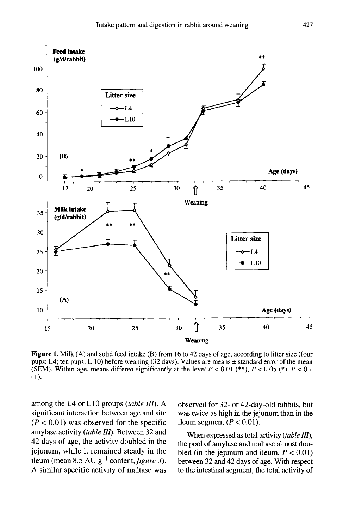

Figure 1. Milk (A) and solid feed intake (B) from 16 to 42 days of age, according to litter size (four pups: L4; ten pups: L 10) before weaning (32 days). Values are means  $\pm$  standard error of the mean (SEM). Within age, means differed significantly at the level  $P < 0.01$  (\*\*),  $P < 0.05$  (\*),  $P < 0.1$  $(+).$ 

among the L4 or L10 groups (table III). A significant interaction between age and site  $(P < 0.01)$  was observed for the specific amylase activity (table III). Between 32 and 42 days of age, the activity doubled in the jejunum, while it remained steady in the ileum (mean  $8.5 \text{ AU} \cdot \text{g}^{-1}$  content, *figure 3*). A similar specific activity of maltase was observed for 32- or 42-day-old rabbits, but was twice as high in the jejunum than in the ileum segment  $(P < 0.01)$ .

When expressed as total activity (table III), the pool of amylase and maltase almost doubled (in the jejunum and ileum,  $P < 0.01$ ) between 32 and 42 days of age. With respect to the intestinal segment, the total activity of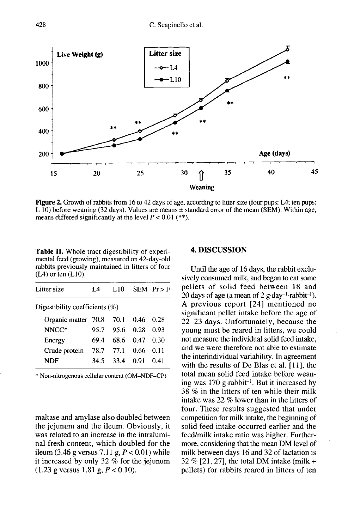

Figure 2. Growth of rabbits from 16 to 42 days of age, according to litter size (four pups: L4; ten pups: L 10) before weaning (32 days). Values are means  $\pm$  standard error of the mean (SEM). Within age, means differed significantly at the level  $P < 0.01$  (\*\*).

Table II. Whole tract digestibility of experimental feed (growing), measured on 42-day-old rabbits previously maintained in litters of four  $(L4)$  or ten  $(L10)$ .

| Litter size                       | 14   | L10            |        | $SEM$ $Pr$ > F |
|-----------------------------------|------|----------------|--------|----------------|
| Digestibility coefficients $(\%)$ |      |                |        |                |
| Organic matter 70.8 70.1          |      |                | 0.46   | 0.28           |
| NNCC*                             |      | 95.7 95.6 0.28 |        | 0.93           |
| Energy                            | 69.4 | 68.6           | - 0.47 | 0.30           |
| Crude protein                     | 78.7 | 77.1           | 0.66   | 0.11           |
| NDF                               | 34.5 | 33.4           | - 0.91 | 0.41           |

\* Non-nitrogenous cellular content (OM-NDF-CP)

maltase and amylase also doubled between the jejunum and the ileum. Obviously, it was related to an increase in the intraluminal fresh content, which doubled for the ileum (3.46 g versus 7.11 g,  $P < 0.01$ ) while it increased by only 32 % for the jejunum  $(1.23 \text{ g} \text{ versus } 1.81 \text{ g}, P < 0.10).$ 

## 4. DISCUSSION

Until the age of 16 days, the rabbit exclusively consumed milk, and began to eat some pellets of solid feed between 18 and<br>20 days of age (a mean of 2 g-day<sup>-1</sup>-rabbit<sup>-1</sup>). **4. DISCUSSION**<br>
Until the age of 16 days, the rabbit exclu-<br>
sively consumed milk, and began to eat some<br>
pellets of solid feed between 18 and<br>
20 days of age (a mean of 2 g-day<sup>-1</sup>-rabbit<sup>-1</sup>).<br>
A previous report [24] m A previous report [24] mentioned no significant pellet intake before the age of 22-23 days. Unfortunately, because the young must be reared in litters, we could not measure the individual solid feed intake, and we were therefore not able to estimate the interindividual variability. In agreement with the results of De Blas et al. [11], the total mean solid feed intake before weanand we were therefore not able to estimate<br>the interindividual variability. In agreement<br>with the results of De Blas et al. [11], the<br>total mean solid feed intake before wean-<br>ing was 170 g-rabbit<sup>-1</sup>. But it increased by 38 % in the litters of ten while their milk intake was 22 % lower than in the litters of four. These results suggested that under competition for milk intake, the beginning of solid feed intake occurred earlier and the feed/milk intake ratio was higher. Furthermore, considering that the mean DM level of milk between days 16 and 32 of lactation is 32 % [21, 27], the total DM intake (milk + pellets) for rabbits reared in litters of ten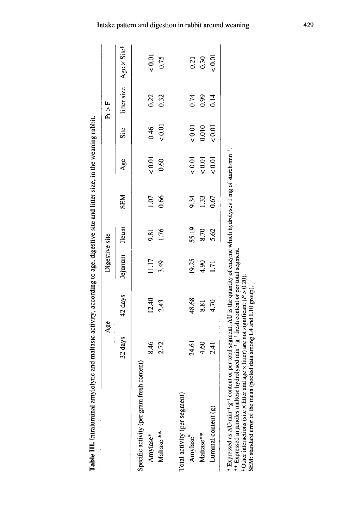| $\ddot{\phantom{a}}$ |
|----------------------|
|                      |
|                      |
|                      |
|                      |
|                      |
|                      |
|                      |
|                      |
|                      |
|                      |
|                      |
|                      |
|                      |
|                      |
|                      |
|                      |
|                      |
|                      |
|                      |
|                      |
|                      |
|                      |
|                      |
|                      |
| ï                    |
|                      |
|                      |
| ;<br>;<br>;          |
|                      |
|                      |
|                      |
|                      |
|                      |
|                      |
|                      |
|                      |
|                      |
| l                    |
|                      |
| ׇ֚֘<br>ׇ֚֬֡          |
|                      |
|                      |
|                      |
|                      |
|                      |
|                      |
|                      |
|                      |
|                      |
|                      |
|                      |
|                      |
|                      |
|                      |
|                      |
|                      |
|                      |
|                      |
|                      |
|                      |
|                      |
|                      |
|                      |
|                      |
|                      |
|                      |
|                      |
|                      |
|                      |
|                      |
|                      |
|                      |
|                      |
|                      |
|                      |
|                      |
| .<br>.               |
|                      |
| Į                    |

|                                            |         | Age     | Digestive site |              |            |             |          | F<br>Fr     |                              |
|--------------------------------------------|---------|---------|----------------|--------------|------------|-------------|----------|-------------|------------------------------|
|                                            | 32 days | 42 days | Jejunum        | <b>Lleum</b> | <b>SEM</b> | Age         | Site     | litter size | $Age \times Site^{\ddagger}$ |
| Specific activity (per gram fresh content) |         |         |                |              |            |             |          |             |                              |
| Amylase*                                   | 8.46    | 12.40   | 11.17          | 9.81         | 1.07       | 0.01        | 0.46     | 0.22        | 0.01                         |
| Maltase **                                 | 2.72    | 2.43    | 3.49           | 1.76         | 0.66       | 0.60        | 0.01     | 0.32        | 0.75                         |
| Total activity (per segment)               |         |         |                |              |            |             |          |             |                              |
| Amylase*                                   | 24.61   | 48.68   | 19.25          | 55.19        | 9.34       | $< 0.01$    | $< 0.01$ | 0.74        | 0.21                         |
| Maltase**                                  | 4.60    | 8.81    | 4.90           | 8.70         | 1.33       | 0.01        | 0.010    | 0.99        | 0.30                         |
| Luminal content (g)                        | 2.41    | 4.70    | Ξ              | 5.62         | 0.67       | ${}_{0.01}$ | 50.01    | 0.14        | 50.01                        |
|                                            |         |         |                |              |            |             |          |             |                              |

<sup>†</sup> Other interactions (site × litter and age × litter) are not significant ( $P > 0.20$ ).<br>SEM: standard error of the mean (pooled data among L4 and L10 group).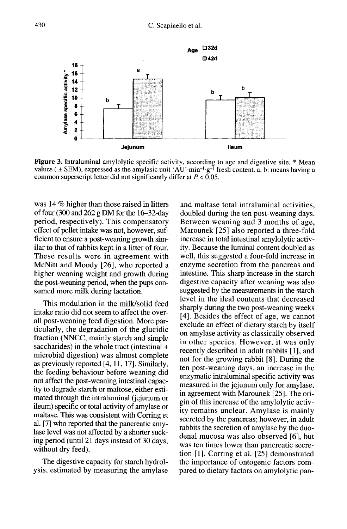

**Figure 3.** Intraluminal amylolytic specific activity, according to age and digestive site. \* Mean values ( $\pm$  SEM), expressed as the amylasic unit 'AU' min<sup>-1</sup> g<sup>-1</sup> fresh content. a, b: means having a common superscript letter did not significantly differ at  $P < 0.05$ .

was 14 % higher than those raised in litters of four (300 and 262 g DM for the 16-32-day period, respectively). This compensatory effect of pellet intake was not, however, sufficient to ensure a post-weaning growth similar to that of rabbits kept in a litter of four. These results were in agreement with McNitt and Moody [26], who reported a higher weaning weight and growth during the post-weaning period, when the pups consumed more milk during lactation.

This modulation in the milk/solid feed intake ratio did not seem to affect the overall post-weaning feed digestion. More particularly, the degradation of the glucidic fraction (NNCC, mainly starch and simple saccharides) in the whole tract (intestinal + microbial digestion) was almost complete as previously reported [4, 11, 17]. Similarly, the feeding behaviour before weaning did not affect the post-weaning intestinal capacity to degrade starch or maltose, either estimated through the intraluminal (jejunum or ileum) specific or total activity of amylase or maltase. This was consistent with Corring et al. [7] who reported that the pancreatic amylase level was not affected by a shorter sucking period (until 21 days instead of 30 days, without dry feed).

The digestive capacity for starch hydrolysis, estimated by measuring the amylase

and maltase total intraluminal activities, doubled during the ten post-weaning days. Between weaning and 3 months of age, Marounek [25] also reported a three-fold increase in total intestinal amylolytic activity. Because the luminal content doubled as well, this suggested a four-fold increase in enzyme secretion from the pancreas and intestine. This sharp increase in the starch digestive capacity after weaning was also suggested by the measurements in the starch level in the ileal contents that decreased sharply during the two post-weaning weeks [4]. Besides the effect of age, we cannot exclude an effect of dietary starch by itself on amylase activity as classically observed in other species. However, it was only recently described in adult rabbits [1], and not for the growing rabbit [8]. During the ten post-weaning days, an increase in the enzymatic intraluminal specific activity was measured in the jejunum only for amylase, in agreement with Marounek [25]. The origin of this increase of the amylolytic activity remains unclear. Amylase is mainly secreted by the pancreas; however, in adult rabbits the secretion of amylase by the duodenal mucosa was also observed [6], but was ten times lower than pancreatic secretion [1]. Corring et al. [25] demonstrated the importance of ontogenic factors compared to dietary factors on amylolytic pan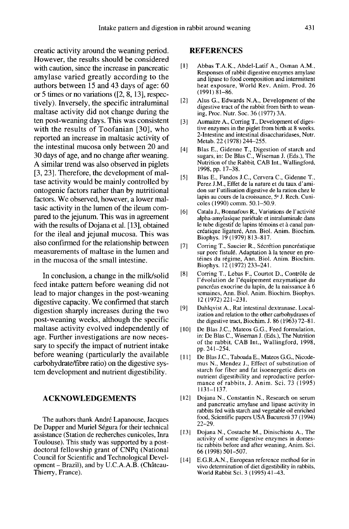creatic activity around the weaning period. However, the results should be considered with caution, since the increase in pancreatic amylase varied greatly according to the authors between 15 and 43 days of age: 60 or 5 times or no variations ([2, 8, 13], respectively). Inversely, the specific intraluminal maltase activity did not change during the ten post-weaning days. This was consistent with the results of Toofanian [30], who reported an increase in maltasic activity of the intestinal mucosa only between 20 and 30 days of age, and no change after weaning. A similar trend was also observed in piglets [3, 23]. Therefore, the development of maltase activity would be mainly controlled by ontogenic factors rather than by nutritional factors. We observed, however, a lower maltasic activity in the lumen of the ileum compared to the jejunum. This was in agreement with the results of Dojana et al. [13], obtained for the ileal and jejunal mucosa. This was also confirmed for the relationship between measurements of maltase in the lumen and in the mucosa of the small intestine.

In conclusion, a change in the milk/solid feed intake pattern before weaning did not lead to major changes in the post-weaning digestive capacity. We confirmed that starch digestion sharply increases during the two post-weaning weeks, although the specific maltase activity evolved independently of age. Further investigations are now necessary to specify the impact of nutrient intake before weaning (particularly the available carbohydrate/fibre ratio) on the digestive system development and nutrient digestibility.

## ACKNOWLEDGEMENTS

The authors thank André Lapanouse, Jacques De Dapper and Muriel Ségura for their technical assistance (Station de recherches cunicoles, Inra Toulouse). This study was supported by a postdoctoral fellowship grant of CNPq (National Council for Scientific and Technological Development  $-$  Brazil), and by U.C.A.A.B. (Château-Thierry, France).

#### REFERENCES

- [1] Abbas T.A.K., Abdel-Latif A., Osman A.M., Responses of rabbit digestive enzymes amylase and lipase to food composition and intermittent heat exposure, World Rev. Anim. Prod. 26  $(1991)$   $\dot{8}$ 1-86.
- [2] Alus G., Edwards N.A., Development of the digestive tract of the rabbit from birth to weaning, Proc. Nutr. Soc. 36 (1977) 3A.
- [3] Aumaitre A., Corring T., Development of digestive enzymes in the piglet from birth at 8 weeks. 2-Intestine and intestinal disaccharidases, Nutr. Metab. 22 (1978) 244-255.
- [4] Blas E., Gidenne T., Digestion of starch and sugars, in: De Blas C., Wiseman J. (Eds.), The Nutrition of the Rabbit, CAB Int., Wallingford, 1998, pp. 17-38.
- [5] Blas E., Fandos J.C., Cervera C., Gidenne T., Perez J.M., Effet de la nature et du taux d'amidon sur 1'utilisation digestive de la ration chez le lapin au cours de la croissance, 5<sup>e</sup> J. Rech. Cunicoles (1990) comm. 50.1-50.9.
- 16] Catala J., Bonnafous R., Variations de I'activit6 alpha-amylasique pariétale et intraluminale dans le tube digestif de lapins témoins et à canal pancr6atique ligatur6, Ann. Biol. Anim. Biochim. Biophys. 19 (1979) 813-817.
- [7] Corring T., Saucier R., Sécrétion pancréatique<br>sur porc fistulé. Adaptation à la teneur en protéines du régime, Ann. Biol. Anim. Biochim. Biophys. 12 (1972) 233-241.
- [8] Corring T., Lebas F., Courtot D., Contrôle de 1'6volution de 1'6quipement enzymatique du pancréas exocrine du lapin, de la naissance à 6 semaines, Ann. Biol. Anim. Biochim. Biophys. 12 (1972) 221-231.
- [9] Dahlqvist A., Rat intestinal dextranase. Localization and relation to the other carbohydrases of the digestive tract, Biochim. J.  $86(1963)$  72-81.
- 1101 De Blas J.C., Mateos G.G., Feed formulation, in: De Blas C., Wiseman J. (Eds.), The Nutrition of the rabbit, CAB Int., Wallingford, 1998, pp.241-254.
- [11] De Blas J.C., Taboada E., Mateos G.G., Nicodemus N., Mendez J., Effect of substitution of starch for fiber and fat isoenergetic diets on<br>nutrient digestibility and reproductive performance of rabbits, J. Anim. Sci. 73 (1995) 1131-I137.
- [121 Dojana N., Constantin N., Research on serum and pancreatic amylase and lipase activity in rabbits fed with starch and vegetable oil enriched food, Scientific papers USA Bucuresti 37 (1994) 22-29.
- [13] Dojana N., Costache M., Dinischiotu A., The activity of some digestive enzymes in domestic rabbits before and after weaning, Anim. Sci. 66 ( 1998) 501-507.
- [ 14] E.G.R.A.N., European reference method for in vivo determination of diet digestibility in rabbits, World Rabbit Sci. 3 (1995) 41-43.